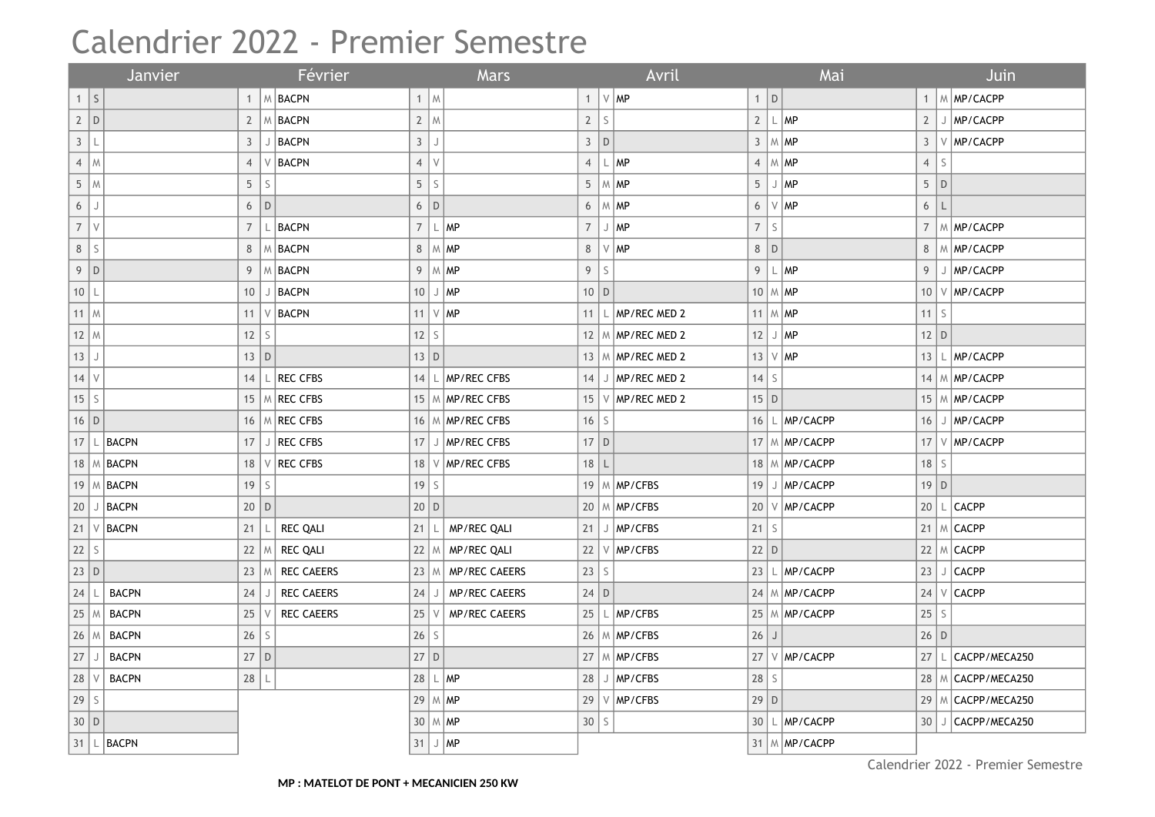## Calendrier 2022 - Premier Semestre

| Janvier          |             |                       |                | Février   |                                      |                 | Mars        |                                    |                 |             | Avril           |                             |                          |             | Mai                                       | Juin           |              |                        |
|------------------|-------------|-----------------------|----------------|-----------|--------------------------------------|-----------------|-------------|------------------------------------|-----------------|-------------|-----------------|-----------------------------|--------------------------|-------------|-------------------------------------------|----------------|--------------|------------------------|
| 1                | $\vert$ S   |                       | $\mathbf{1}$   |           | $\vert \, \mathbb{M} \, \vert$ BACPN |                 | $1 \mid M$  |                                    | $\mathbf{1}$    |             | $\vee$ MP       |                             | $1$ D                    |             |                                           |                |              | M MP/CACPP             |
| 2 D              |             |                       | $\overline{2}$ |           | M BACPN                              |                 | $2 \mid M$  |                                    | $\overline{2}$  | $\mathsf S$ |                 |                             |                          |             | 2  L MP                                   | $\overline{2}$ |              | J   MP/CACPP           |
| $\mathfrak{Z}$   | L           |                       | 3              | J         | BACPN                                | $\mathbf{3}$    | J           |                                    | $\mathbf{3}$    | D           |                 |                             |                          |             | $3 \mid M \mid MP$                        | $\mathbf{3}$   |              | V MP/CACPP             |
| $\overline{4}$   | M           |                       | $\overline{4}$ |           | <b>BACPN</b>                         | $\overline{4}$  | $\vee$      |                                    | $\overline{4}$  |             | $\mathsf{L}$ MP |                             | $\overline{4}$           |             | $ M$ MP                                   | $\overline{4}$ | S            |                        |
| 5 <sup>5</sup>   | M           |                       | 5              | S         |                                      | 5               | $\mathsf S$ |                                    | 5               |             | $M$ MP          |                             |                          |             | $5$ J MP                                  |                | 5 D          |                        |
| $6\,$            | $\mathsf J$ |                       | 6              | D         |                                      | 6               | $\mathsf D$ |                                    | 6               |             | $M$ MP          |                             | $6\,$                    |             | $ V $ MP                                  | 6              | $\mathsf{L}$ |                        |
| $\boldsymbol{7}$ | $\vee$      |                       | $\overline{7}$ |           | <b>BACPN</b>                         | $\overline{7}$  | $\lfloor$   | MP                                 | $\overline{7}$  |             | $J$ MP          |                             | $\overline{\mathcal{I}}$ | $\mathsf S$ |                                           | $\overline{7}$ |              | M MP/CACPP             |
| 8                | $\mathsf S$ |                       | 8              |           | M BACPN                              |                 |             | 8   M   MP                         | 8               |             | $\vee$ MP       |                             | 8 D                      |             |                                           | 8              |              | M MP/CACPP             |
| $9\phantom{.0}$  | $\vert D$   |                       | 9              |           | M BACPN                              | 9               |             | $\lfloor M \rfloor$ MP             | 9               | $\mathsf S$ |                 |                             | 9                        |             | $\lfloor \frac{\mathsf{L}}{2} \rfloor$ MP | 9              |              | J   MP/CACPP           |
| $10$   L         |             |                       | 10             | J         | BACPN                                | 10              |             | J MP                               | $10$ D          |             |                 |                             | $10 \mid M \mid MP$      |             |                                           |                |              | 10 V MP/CACPP          |
| $11$ M           |             |                       | 11             |           | $V$ BACPN                            |                 |             | 11 $\vee$ MP                       | 11              |             |                 | $\mathsf{L}$   MP/REC MED 2 | 11 $\mid$ M $\mid$ MP    |             |                                           |                | $11$ S       |                        |
| $12 \mid M$      |             |                       | 12             | S         |                                      | 12              | $\mathsf S$ |                                    | 12              |             |                 | M MP/REC MED 2              |                          |             | $12$ J MP                                 |                | $12$ D       |                        |
| $13$             | J           |                       | $13$ D         |           |                                      | $13$ D          |             |                                    |                 |             |                 | 13   M   MP/REC MED 2       |                          |             | 13  V MP                                  | 13             |              | MP/CACPP               |
| $14$ V           |             |                       | 14             |           | <b>REC CFBS</b>                      |                 |             | 14 $\lfloor$ $\lfloor$ MP/REC CFBS | 14              |             |                 | J   MP/REC MED 2            | $14$ S                   |             |                                           |                |              | 14 M MP/CACPP          |
| $15\,$           | $\mathsf S$ |                       | 15             |           | M REC CFBS                           | 15              |             | M MP/REC CFBS                      | 15 <sup>1</sup> |             |                 | $V$ MP/REC MED 2            | $15$ D                   |             |                                           |                |              | 15   M   MP/CACPP      |
| $16$ D           |             |                       | 16             |           | M REC CFBS                           |                 |             | 16   M   MP/REC CFBS               | 16              | $\mathsf S$ |                 |                             |                          |             | $16$ L MP/CACPP                           | 16             |              | MP/CACPP               |
|                  |             | 17 $ L $ BACPN        | 17             |           | J REC CFBS                           |                 |             | 17 J   MP/REC CFBS                 | $17$ D          |             |                 |                             |                          |             | 17   M   MP/CACPP                         |                |              | 17   V   MP/CACPP      |
|                  |             | 18   M   <b>BACPN</b> | 18             | V         | <b>REC CFBS</b>                      | 18              | V           | MP/REC CFBS                        | $18$   L        |             |                 |                             |                          |             | 18   M   MP/CACPP                         | $18$ S         |              |                        |
| 19               |             | M BACPN               | 19             | S         |                                      | $19$ S          |             |                                    |                 |             |                 | 19   $M$   MP/CFBS          |                          |             | 19 J MP/CACPP                             |                | $19$ D       |                        |
| 20               | J           | <b>BACPN</b>          | 20   D         |           |                                      | 20 D            |             |                                    |                 |             |                 | 20   M   MP/CFBS            |                          |             | 20 V MP/CACPP                             |                |              | 20 $ L $ CACPP         |
| 21               |             | $V$ BACPN             | 21             |           | <b>REC QALI</b>                      | 21              | L           | MP/REC QALI                        | 21              |             |                 | J   MP/CFBS                 | $21$ S                   |             |                                           |                |              | 21   M   CACPP         |
| 22               | s           |                       | 22             |           | <b>REC QALI</b>                      | 22              | M           | MP/REC QALI                        | 22              |             |                 | $V$ MP/CFBS                 | $22$ D                   |             |                                           |                |              | 22 $ M $ CACPP         |
| $23$ D           |             |                       | 23             | M         | <b>REC CAEERS</b>                    | $23$ M          |             | MP/REC CAEERS                      | 23              | S           |                 |                             |                          |             | 23 $\lfloor \ln P/CACPP \rfloor$          |                |              | $23$ J $CACPP$         |
| 24               |             | <b>BACPN</b>          | 24             |           | REC CAEERS                           | 24              | J           | MP/REC CAEERS                      | $24$ D          |             |                 |                             |                          |             | $24 \mid M \mid \text{MP/CACPP}$          |                |              | $24 V $ CACPP          |
| 25               |             | <b>BACPN</b>          | 25             |           | <b>REC CAEERS</b>                    | 25              | $\vee$      | MP/REC CAEERS                      | 25              |             |                 | $\mathsf{L}$   MP/CFBS      |                          |             | 25 M MP/CACPP                             | $25$ S         |              |                        |
| 26               |             | <b>BACPN</b>          | 26             | S         |                                      | 26              | S           |                                    |                 |             |                 | 26   M   MP/CFBS            | $26$ J                   |             |                                           |                | 26 D         |                        |
| 27               |             | <b>BACPN</b>          | 27             | $\vert D$ |                                      | $27$ D          |             |                                    |                 |             |                 | 27   M   MP/CFBS            |                          |             | 27   V   MP/CACPP                         | 27             |              | CACPP/MECA250          |
| 28               |             | <b>BACPN</b>          | 28             |           |                                      | 28              |             | $\mathsf{L}$ $\mathsf{MP}$         | 28              |             |                 | MP/CFBS                     | $28$ S                   |             |                                           |                |              | 28   M   CACPP/MECA250 |
| 29               | l s         |                       |                |           |                                      |                 |             | 29 $M$ MP                          | 29              |             |                 | $V$ MP/CFBS                 | $29$ D                   |             |                                           |                |              | 29   M   CACPP/MECA250 |
| $30$ D           |             |                       |                |           |                                      | 30 <sup>°</sup> |             | $M$ MP                             | 30              | S           |                 |                             |                          |             | 30 L MP/CACPP                             |                |              | 30 J CACPP/MECA250     |
|                  |             | 31   L BACPN          |                |           |                                      | 31              |             | $J$ $MP$                           |                 |             |                 |                             |                          |             | 31 M MP/CACPP                             |                |              |                        |